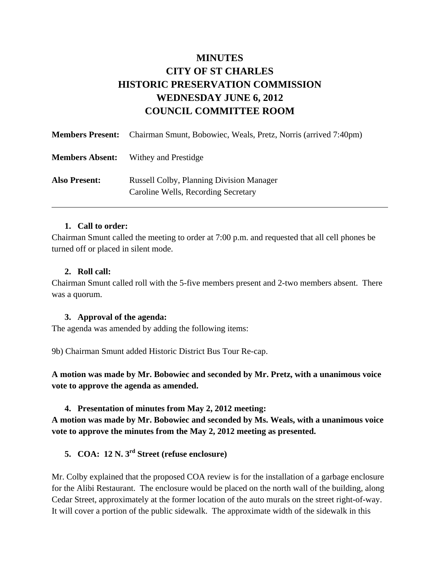# **MINUTES CITY OF ST CHARLES HISTORIC PRESERVATION COMMISSION WEDNESDAY JUNE 6, 2012 COUNCIL COMMITTEE ROOM**

|                        | <b>Members Present:</b> Chairman Smunt, Bobowiec, Weals, Pretz, Norris (arrived 7:40pm) |
|------------------------|-----------------------------------------------------------------------------------------|
| <b>Members Absent:</b> | Withey and Prestidge                                                                    |
| <b>Also Present:</b>   | <b>Russell Colby, Planning Division Manager</b><br>Caroline Wells, Recording Secretary  |

### **1. Call to order:**

Chairman Smunt called the meeting to order at 7:00 p.m. and requested that all cell phones be turned off or placed in silent mode.

#### **2. Roll call:**

Chairman Smunt called roll with the 5-five members present and 2-two members absent. There was a quorum.

### **3. Approval of the agenda:**

The agenda was amended by adding the following items:

9b) Chairman Smunt added Historic District Bus Tour Re-cap.

**A motion was made by Mr. Bobowiec and seconded by Mr. Pretz, with a unanimous voice vote to approve the agenda as amended.** 

**4. Presentation of minutes from May 2, 2012 meeting:** 

**A motion was made by Mr. Bobowiec and seconded by Ms. Weals, with a unanimous voice vote to approve the minutes from the May 2, 2012 meeting as presented.**

# **5. COA: 12 N. 3rd Street (refuse enclosure)**

Mr. Colby explained that the proposed COA review is for the installation of a garbage enclosure for the Alibi Restaurant. The enclosure would be placed on the north wall of the building, along Cedar Street, approximately at the former location of the auto murals on the street right-of-way. It will cover a portion of the public sidewalk. The approximate width of the sidewalk in this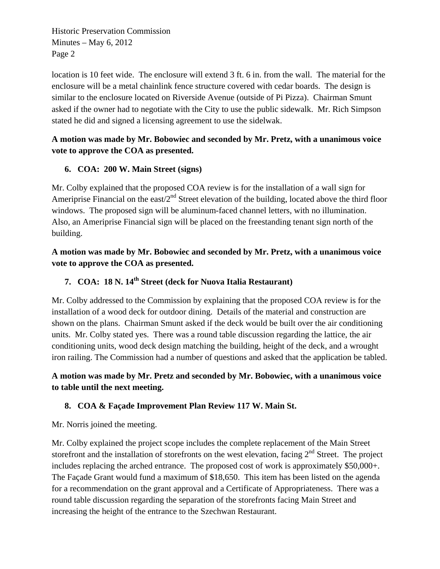Historic Preservation Commission Minutes – May  $6, 2012$ Page 2

location is 10 feet wide. The enclosure will extend 3 ft. 6 in. from the wall. The material for the enclosure will be a metal chainlink fence structure covered with cedar boards. The design is similar to the enclosure located on Riverside Avenue (outside of Pi Pizza). Chairman Smunt asked if the owner had to negotiate with the City to use the public sidewalk. Mr. Rich Simpson stated he did and signed a licensing agreement to use the sidelwak.

# **A motion was made by Mr. Bobowiec and seconded by Mr. Pretz, with a unanimous voice vote to approve the COA as presented.**

# **6. COA: 200 W. Main Street (signs)**

Mr. Colby explained that the proposed COA review is for the installation of a wall sign for Ameriprise Financial on the east/ $2<sup>nd</sup>$  Street elevation of the building, located above the third floor windows. The proposed sign will be aluminum-faced channel letters, with no illumination. Also, an Ameriprise Financial sign will be placed on the freestanding tenant sign north of the building.

**A motion was made by Mr. Bobowiec and seconded by Mr. Pretz, with a unanimous voice vote to approve the COA as presented.**

# **7. COA: 18 N. 14th Street (deck for Nuova Italia Restaurant)**

Mr. Colby addressed to the Commission by explaining that the proposed COA review is for the installation of a wood deck for outdoor dining. Details of the material and construction are shown on the plans. Chairman Smunt asked if the deck would be built over the air conditioning units. Mr. Colby stated yes. There was a round table discussion regarding the lattice, the air conditioning units, wood deck design matching the building, height of the deck, and a wrought iron railing. The Commission had a number of questions and asked that the application be tabled.

# **A motion was made by Mr. Pretz and seconded by Mr. Bobowiec, with a unanimous voice to table until the next meeting.**

# **8. COA & Façade Improvement Plan Review 117 W. Main St.**

Mr. Norris joined the meeting.

Mr. Colby explained the project scope includes the complete replacement of the Main Street storefront and the installation of storefronts on the west elevation, facing  $2<sup>nd</sup>$  Street. The project includes replacing the arched entrance. The proposed cost of work is approximately \$50,000+. The Façade Grant would fund a maximum of \$18,650. This item has been listed on the agenda for a recommendation on the grant approval and a Certificate of Appropriateness. There was a round table discussion regarding the separation of the storefronts facing Main Street and increasing the height of the entrance to the Szechwan Restaurant.